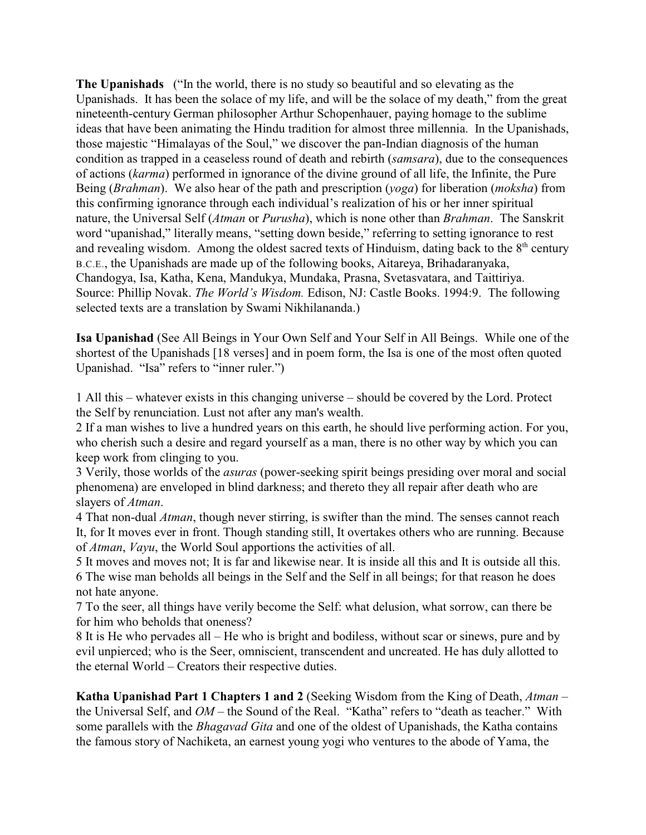**The Upanishads** ("In the world, there is no study so beautiful and so elevating as the Upanishads. It has been the solace of my life, and will be the solace of my death," from the great nineteenth-century German philosopher Arthur Schopenhauer, paying homage to the sublime ideas that have been animating the Hindu tradition for almost three millennia. In the Upanishads, those majestic "Himalayas of the Soul," we discover the pan-Indian diagnosis of the human condition as trapped in a ceaseless round of death and rebirth (*samsara*), due to the consequences of actions (*karma*) performed in ignorance of the divine ground of all life, the Infinite, the Pure Being (*Brahman*). We also hear of the path and prescription (*yoga*) for liberation (*moksha*) from this confirming ignorance through each individual's realization of his or her inner spiritual nature, the Universal Self (*Atman* or *Purusha*), which is none other than *Brahman*. The Sanskrit word "upanishad," literally means, "setting down beside," referring to setting ignorance to rest and revealing wisdom. Among the oldest sacred texts of Hinduism, dating back to the  $8<sup>th</sup>$  century B.C.E., the Upanishads are made up of the following books, Aitareya, Brihadaranyaka, Chandogya, Isa, Katha, Kena, Mandukya, Mundaka, Prasna, Svetasvatara, and Taittiriya. Source: Phillip Novak. *The World's Wisdom.* Edison, NJ: Castle Books. 1994:9. The following selected texts are a translation by Swami Nikhilananda.)

**Isa Upanishad** (See All Beings in Your Own Self and Your Self in All Beings. While one of the shortest of the Upanishads [18 verses] and in poem form, the Isa is one of the most often quoted Upanishad. "Isa" refers to "inner ruler.")

1 All this – whatever exists in this changing universe – should be covered by the Lord. Protect the Self by renunciation. Lust not after any man's wealth.

2 If a man wishes to live a hundred years on this earth, he should live performing action. For you, who cherish such a desire and regard yourself as a man, there is no other way by which you can keep work from clinging to you.

3 Verily, those worlds of the *asuras* (power-seeking spirit beings presiding over moral and social phenomena) are enveloped in blind darkness; and thereto they all repair after death who are slayers of *Atman*.

4 That non-dual *Atman*, though never stirring, is swifter than the mind. The senses cannot reach It, for It moves ever in front. Though standing still, It overtakes others who are running. Because of *Atman*, *Vayu*, the World Soul apportions the activities of all.

5 It moves and moves not; It is far and likewise near. It is inside all this and It is outside all this. 6 The wise man beholds all beings in the Self and the Self in all beings; for that reason he does not hate anyone.

7 To the seer, all things have verily become the Self: what delusion, what sorrow, can there be for him who beholds that oneness?

8 It is He who pervades all – He who is bright and bodiless, without scar or sinews, pure and by evil unpierced; who is the Seer, omniscient, transcendent and uncreated. He has duly allotted to the eternal World – Creators their respective duties.

**Katha Upanishad Part 1 Chapters 1 and 2** (Seeking Wisdom from the King of Death, *Atman* – the Universal Self, and *OM* – the Sound of the Real. "Katha" refers to "death as teacher." With some parallels with the *Bhagavad Gita* and one of the oldest of Upanishads, the Katha contains the famous story of Nachiketa, an earnest young yogi who ventures to the abode of Yama, the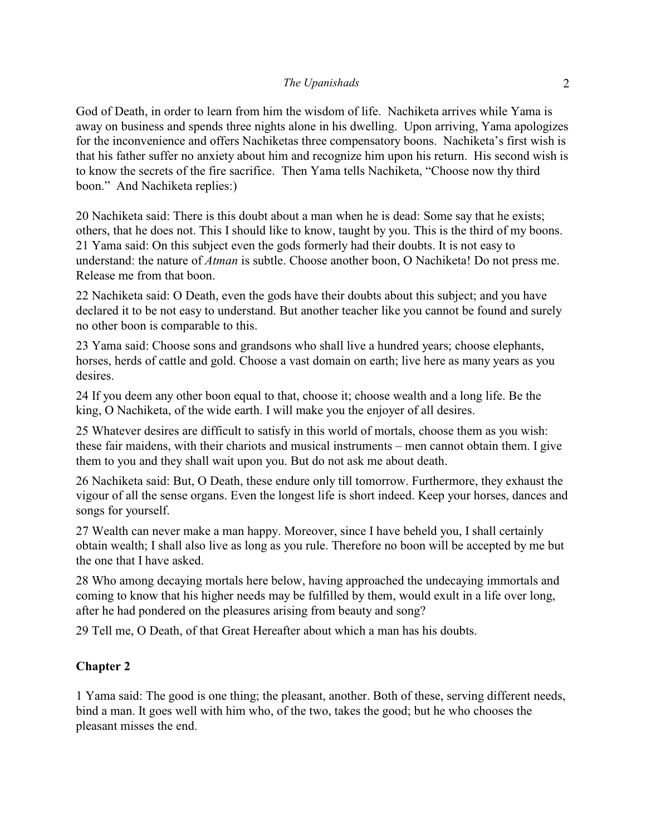God of Death, in order to learn from him the wisdom of life. Nachiketa arrives while Yama is away on business and spends three nights alone in his dwelling. Upon arriving, Yama apologizes for the inconvenience and offers Nachiketas three compensatory boons. Nachiketa's first wish is that his father suffer no anxiety about him and recognize him upon his return. His second wish is to know the secrets of the fire sacrifice. Then Yama tells Nachiketa, "Choose now thy third boon." And Nachiketa replies:)

20 Nachiketa said: There is this doubt about a man when he is dead: Some say that he exists; others, that he does not. This I should like to know, taught by you. This is the third of my boons. 21 Yama said: On this subject even the gods formerly had their doubts. It is not easy to understand: the nature of *Atman* is subtle. Choose another boon, O Nachiketa! Do not press me. Release me from that boon.

22 Nachiketa said: O Death, even the gods have their doubts about this subject; and you have declared it to be not easy to understand. But another teacher like you cannot be found and surely no other boon is comparable to this.

23 Yama said: Choose sons and grandsons who shall live a hundred years; choose elephants, horses, herds of cattle and gold. Choose a vast domain on earth; live here as many years as you desires.

24 If you deem any other boon equal to that, choose it; choose wealth and a long life. Be the king, O Nachiketa, of the wide earth. I will make you the enjoyer of all desires.

25 Whatever desires are difficult to satisfy in this world of mortals, choose them as you wish: these fair maidens, with their chariots and musical instruments – men cannot obtain them. I give them to you and they shall wait upon you. But do not ask me about death.

26 Nachiketa said: But, O Death, these endure only till tomorrow. Furthermore, they exhaust the vigour of all the sense organs. Even the longest life is short indeed. Keep your horses, dances and songs for yourself.

27 Wealth can never make a man happy. Moreover, since I have beheld you, I shall certainly obtain wealth; I shall also live as long as you rule. Therefore no boon will be accepted by me but the one that I have asked.

28 Who among decaying mortals here below, having approached the undecaying immortals and coming to know that his higher needs may be fulfilled by them, would exult in a life over long, after he had pondered on the pleasures arising from beauty and song?

29 Tell me, O Death, of that Great Hereafter about which a man has his doubts.

## **Chapter 2**

1 Yama said: The good is one thing; the pleasant, another. Both of these, serving different needs, bind a man. It goes well with him who, of the two, takes the good; but he who chooses the pleasant misses the end.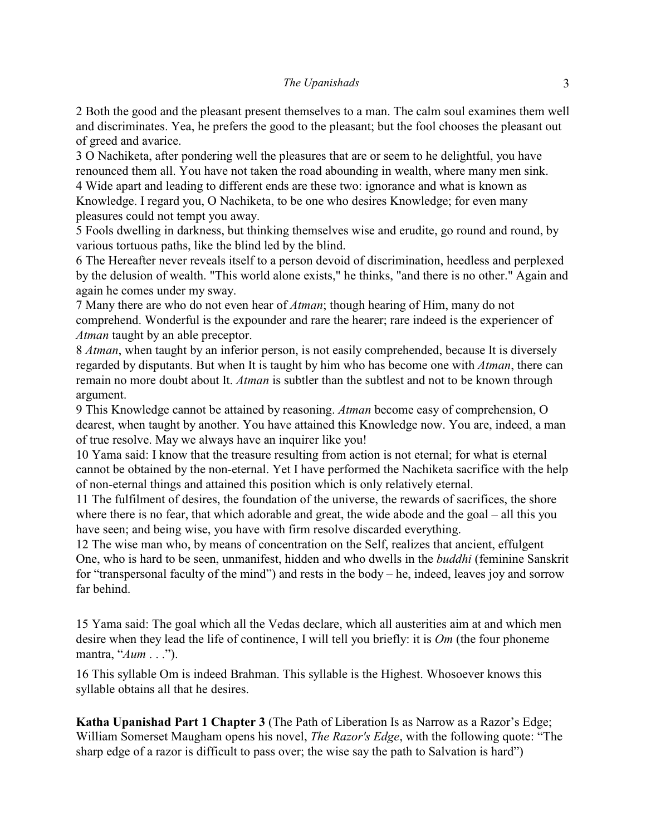2 Both the good and the pleasant present themselves to a man. The calm soul examines them well and discriminates. Yea, he prefers the good to the pleasant; but the fool chooses the pleasant out of greed and avarice.

3 O Nachiketa, after pondering well the pleasures that are or seem to he delightful, you have renounced them all. You have not taken the road abounding in wealth, where many men sink. 4 Wide apart and leading to different ends are these two: ignorance and what is known as Knowledge. I regard you, O Nachiketa, to be one who desires Knowledge; for even many pleasures could not tempt you away.

5 Fools dwelling in darkness, but thinking themselves wise and erudite, go round and round, by various tortuous paths, like the blind led by the blind.

6 The Hereafter never reveals itself to a person devoid of discrimination, heedless and perplexed by the delusion of wealth. "This world alone exists," he thinks, "and there is no other." Again and again he comes under my sway.

7 Many there are who do not even hear of *Atman*; though hearing of Him, many do not comprehend. Wonderful is the expounder and rare the hearer; rare indeed is the experiencer of *Atman* taught by an able preceptor.

8 *Atman*, when taught by an inferior person, is not easily comprehended, because It is diversely regarded by disputants. But when It is taught by him who has become one with *Atman*, there can remain no more doubt about It. *Atman* is subtler than the subtlest and not to be known through argument.

9 This Knowledge cannot be attained by reasoning. *Atman* become easy of comprehension, O dearest, when taught by another. You have attained this Knowledge now. You are, indeed, a man of true resolve. May we always have an inquirer like you!

10 Yama said: I know that the treasure resulting from action is not eternal; for what is eternal cannot be obtained by the non-eternal. Yet I have performed the Nachiketa sacrifice with the help of non-eternal things and attained this position which is only relatively eternal.

11 The fulfilment of desires, the foundation of the universe, the rewards of sacrifices, the shore where there is no fear, that which adorable and great, the wide abode and the goal – all this you have seen; and being wise, you have with firm resolve discarded everything.

12 The wise man who, by means of concentration on the Self, realizes that ancient, effulgent One, who is hard to be seen, unmanifest, hidden and who dwells in the *buddhi* (feminine Sanskrit for "transpersonal faculty of the mind") and rests in the body – he, indeed, leaves joy and sorrow far behind.

15 Yama said: The goal which all the Vedas declare, which all austerities aim at and which men desire when they lead the life of continence, I will tell you briefly: it is *Om* (the four phoneme mantra, "*Aum* . . .").

16 This syllable Om is indeed Brahman. This syllable is the Highest. Whosoever knows this syllable obtains all that he desires.

**Katha Upanishad Part 1 Chapter 3** (The Path of Liberation Is as Narrow as a Razor's Edge; William Somerset Maugham opens his novel, *The Razor's Edge*, with the following quote: "The sharp edge of a razor is difficult to pass over; the wise say the path to Salvation is hard")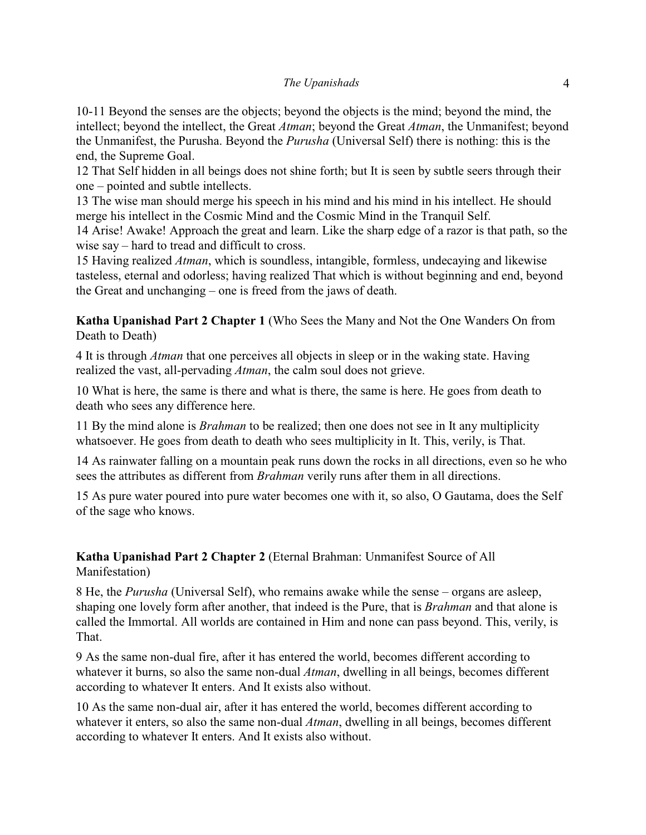### *The Upanishads* 4

10-11 Beyond the senses are the objects; beyond the objects is the mind; beyond the mind, the intellect; beyond the intellect, the Great *Atman*; beyond the Great *Atman*, the Unmanifest; beyond the Unmanifest, the Purusha. Beyond the *Purusha* (Universal Self) there is nothing: this is the end, the Supreme Goal.

12 That Self hidden in all beings does not shine forth; but It is seen by subtle seers through their one – pointed and subtle intellects.

13 The wise man should merge his speech in his mind and his mind in his intellect. He should merge his intellect in the Cosmic Mind and the Cosmic Mind in the Tranquil Self.

14 Arise! Awake! Approach the great and learn. Like the sharp edge of a razor is that path, so the wise say – hard to tread and difficult to cross.

15 Having realized *Atman*, which is soundless, intangible, formless, undecaying and likewise tasteless, eternal and odorless; having realized That which is without beginning and end, beyond the Great and unchanging – one is freed from the jaws of death.

**Katha Upanishad Part 2 Chapter 1** (Who Sees the Many and Not the One Wanders On from Death to Death)

4 It is through *Atman* that one perceives all objects in sleep or in the waking state. Having realized the vast, all-pervading *Atman*, the calm soul does not grieve.

10 What is here, the same is there and what is there, the same is here. He goes from death to death who sees any difference here.

11 By the mind alone is *Brahman* to be realized; then one does not see in It any multiplicity whatsoever. He goes from death to death who sees multiplicity in It. This, verily, is That.

14 As rainwater falling on a mountain peak runs down the rocks in all directions, even so he who sees the attributes as different from *Brahman* verily runs after them in all directions.

15 As pure water poured into pure water becomes one with it, so also, O Gautama, does the Self of the sage who knows.

# **Katha Upanishad Part 2 Chapter 2** (Eternal Brahman: Unmanifest Source of All Manifestation)

8 He, the *Purusha* (Universal Self), who remains awake while the sense – organs are asleep, shaping one lovely form after another, that indeed is the Pure, that is *Brahman* and that alone is called the Immortal. All worlds are contained in Him and none can pass beyond. This, verily, is That.

9 As the same non-dual fire, after it has entered the world, becomes different according to whatever it burns, so also the same non-dual *Atman*, dwelling in all beings, becomes different according to whatever It enters. And It exists also without.

10 As the same non-dual air, after it has entered the world, becomes different according to whatever it enters, so also the same non-dual *Atman*, dwelling in all beings, becomes different according to whatever It enters. And It exists also without.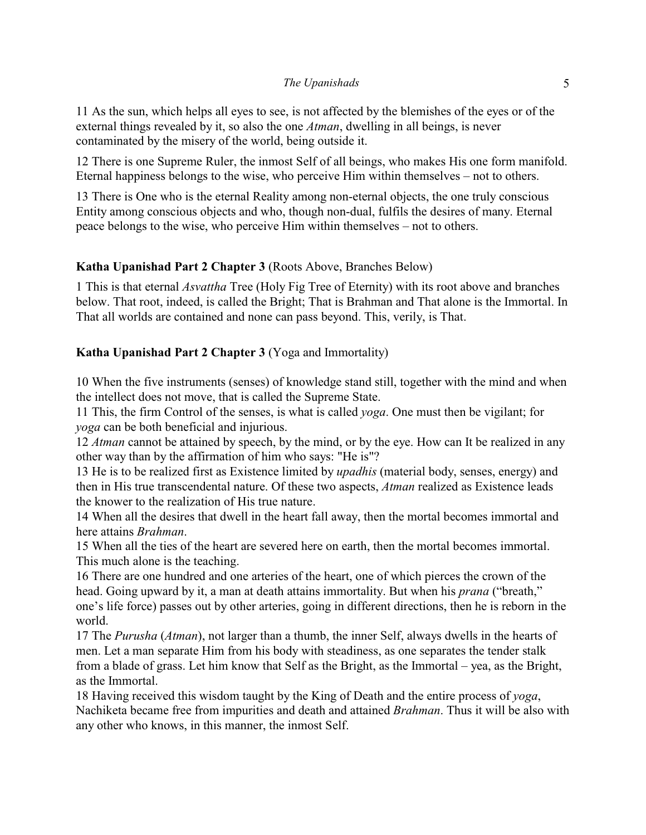#### *The Upanishads* 5

11 As the sun, which helps all eyes to see, is not affected by the blemishes of the eyes or of the external things revealed by it, so also the one *Atman*, dwelling in all beings, is never contaminated by the misery of the world, being outside it.

12 There is one Supreme Ruler, the inmost Self of all beings, who makes His one form manifold. Eternal happiness belongs to the wise, who perceive Him within themselves – not to others.

13 There is One who is the eternal Reality among non-eternal objects, the one truly conscious Entity among conscious objects and who, though non-dual, fulfils the desires of many. Eternal peace belongs to the wise, who perceive Him within themselves – not to others.

## **Katha Upanishad Part 2 Chapter 3** (Roots Above, Branches Below)

1 This is that eternal *Asvattha* Tree (Holy Fig Tree of Eternity) with its root above and branches below. That root, indeed, is called the Bright; That is Brahman and That alone is the Immortal. In That all worlds are contained and none can pass beyond. This, verily, is That.

## **Katha Upanishad Part 2 Chapter 3** (Yoga and Immortality)

10 When the five instruments (senses) of knowledge stand still, together with the mind and when the intellect does not move, that is called the Supreme State.

11 This, the firm Control of the senses, is what is called *yoga*. One must then be vigilant; for *yoga* can be both beneficial and injurious.

12 *Atman* cannot be attained by speech, by the mind, or by the eye. How can It be realized in any other way than by the affirmation of him who says: "He is"?

13 He is to be realized first as Existence limited by *upadhis* (material body, senses, energy) and then in His true transcendental nature. Of these two aspects, *Atman* realized as Existence leads the knower to the realization of His true nature.

14 When all the desires that dwell in the heart fall away, then the mortal becomes immortal and here attains *Brahman*.

15 When all the ties of the heart are severed here on earth, then the mortal becomes immortal. This much alone is the teaching.

16 There are one hundred and one arteries of the heart, one of which pierces the crown of the head. Going upward by it, a man at death attains immortality. But when his *prana* ("breath," one's life force) passes out by other arteries, going in different directions, then he is reborn in the world.

17 The *Purusha* (*Atman*), not larger than a thumb, the inner Self, always dwells in the hearts of men. Let a man separate Him from his body with steadiness, as one separates the tender stalk from a blade of grass. Let him know that Self as the Bright, as the Immortal – yea, as the Bright, as the Immortal.

18 Having received this wisdom taught by the King of Death and the entire process of *yoga*, Nachiketa became free from impurities and death and attained *Brahman*. Thus it will be also with any other who knows, in this manner, the inmost Self.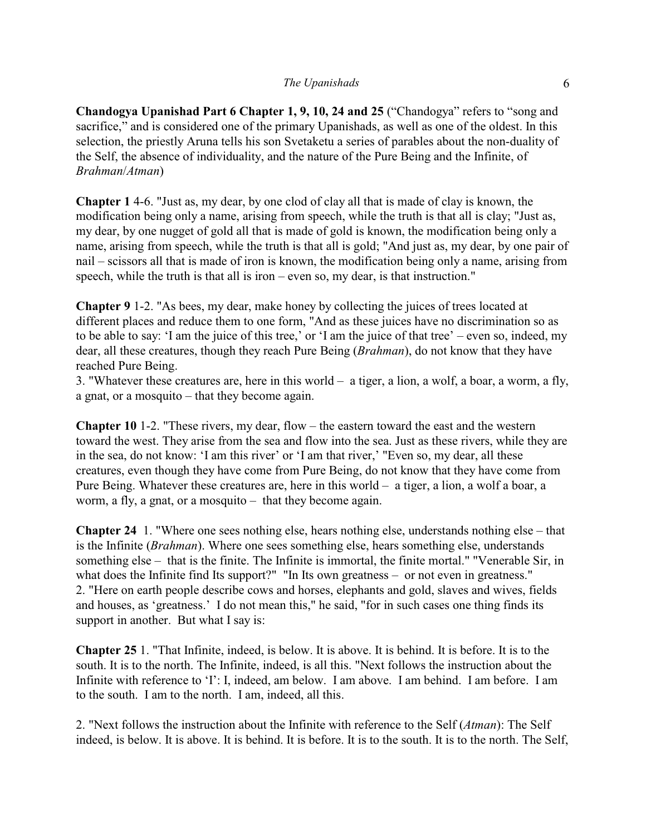#### *The Upanishads* 6

**Chandogya Upanishad Part 6 Chapter 1, 9, 10, 24 and 25** ("Chandogya" refers to "song and sacrifice," and is considered one of the primary Upanishads, as well as one of the oldest. In this selection, the priestly Aruna tells his son Svetaketu a series of parables about the non-duality of the Self, the absence of individuality, and the nature of the Pure Being and the Infinite, of *Brahman*/*Atman*)

**Chapter 1** 4-6. "Just as, my dear, by one clod of clay all that is made of clay is known, the modification being only a name, arising from speech, while the truth is that all is clay; "Just as, my dear, by one nugget of gold all that is made of gold is known, the modification being only a name, arising from speech, while the truth is that all is gold; "And just as, my dear, by one pair of nail – scissors all that is made of iron is known, the modification being only a name, arising from speech, while the truth is that all is iron – even so, my dear, is that instruction."

**Chapter 9** 1-2. "As bees, my dear, make honey by collecting the juices of trees located at different places and reduce them to one form, "And as these juices have no discrimination so as to be able to say: 'I am the juice of this tree,' or 'I am the juice of that tree' – even so, indeed, my dear, all these creatures, though they reach Pure Being (*Brahman*), do not know that they have reached Pure Being.

3. "Whatever these creatures are, here in this world – a tiger, a lion, a wolf, a boar, a worm, a fly, a gnat, or a mosquito – that they become again.

**Chapter 10** 1-2. "These rivers, my dear, flow – the eastern toward the east and the western toward the west. They arise from the sea and flow into the sea. Just as these rivers, while they are in the sea, do not know: 'I am this river' or 'I am that river,' "Even so, my dear, all these creatures, even though they have come from Pure Being, do not know that they have come from Pure Being. Whatever these creatures are, here in this world – a tiger, a lion, a wolf a boar, a worm, a fly, a gnat, or a mosquito – that they become again.

**Chapter 24** 1. "Where one sees nothing else, hears nothing else, understands nothing else – that is the Infinite (*Brahman*). Where one sees something else, hears something else, understands something else – that is the finite. The Infinite is immortal, the finite mortal." "Venerable Sir, in what does the Infinite find Its support?" "In Its own greatness – or not even in greatness." 2. "Here on earth people describe cows and horses, elephants and gold, slaves and wives, fields and houses, as 'greatness.' I do not mean this," he said, "for in such cases one thing finds its support in another. But what I say is:

**Chapter 25** 1. "That Infinite, indeed, is below. It is above. It is behind. It is before. It is to the south. It is to the north. The Infinite, indeed, is all this. "Next follows the instruction about the Infinite with reference to 'I': I, indeed, am below. I am above. I am behind. I am before. I am to the south. I am to the north. I am, indeed, all this.

2. "Next follows the instruction about the Infinite with reference to the Self (*Atman*): The Self indeed, is below. It is above. It is behind. It is before. It is to the south. It is to the north. The Self,